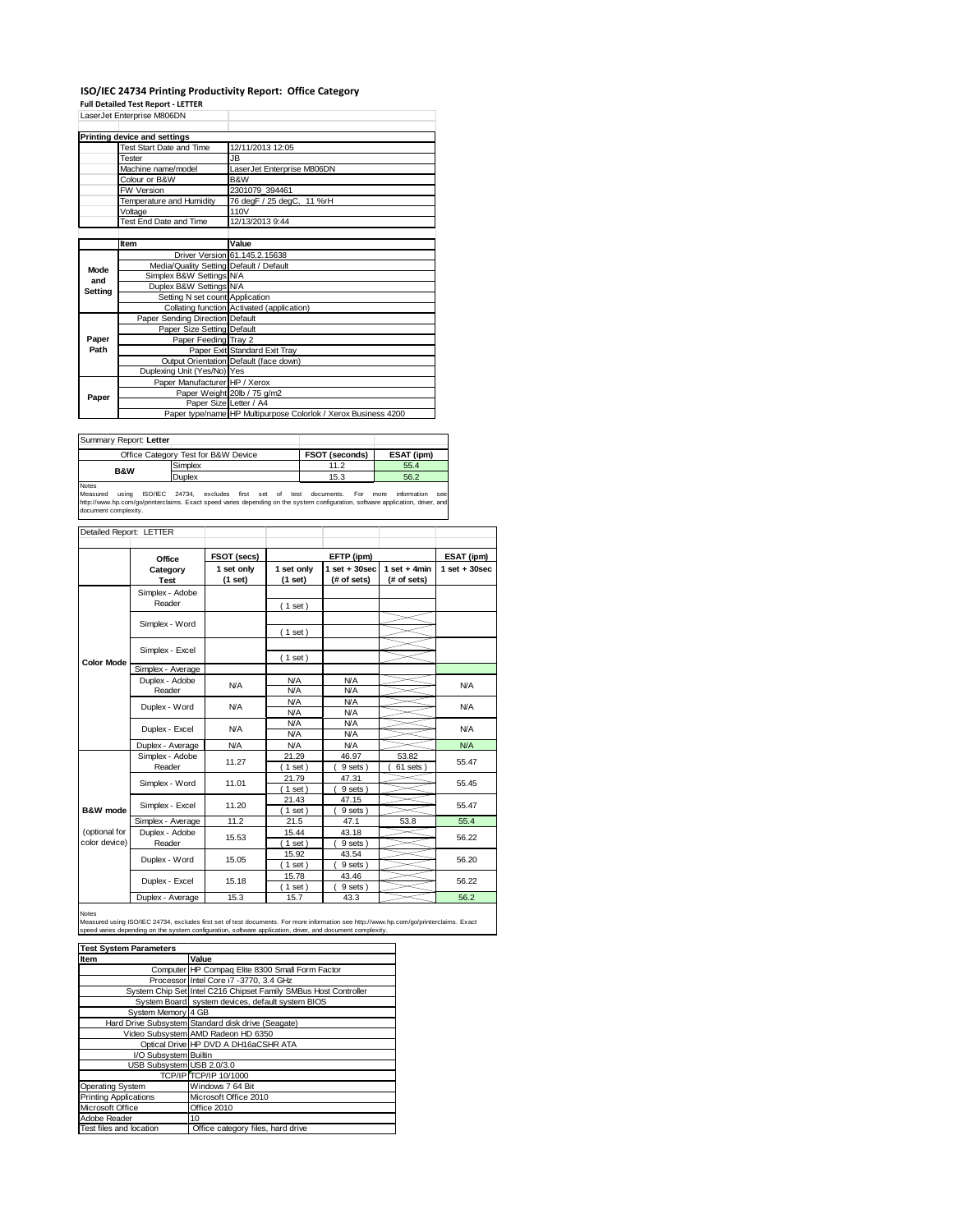## **ISO/IEC 24734 Printing Productivity Report: Office Category Full Detailed Test Report ‐ LETTER**

LaserJet Enterprise M806DN

|         | LaserJet Enterprise M806DN              |                                                                |  |  |  |
|---------|-----------------------------------------|----------------------------------------------------------------|--|--|--|
|         |                                         |                                                                |  |  |  |
|         | Printing device and settings            |                                                                |  |  |  |
|         | Test Start Date and Time                | 12/11/2013 12:05                                               |  |  |  |
|         | Tester                                  | JB.                                                            |  |  |  |
|         | Machine name/model                      | LaserJet Enterprise M806DN                                     |  |  |  |
|         | Colour or B&W                           | B&W<br>2301079 394461                                          |  |  |  |
|         | <b>FW Version</b>                       |                                                                |  |  |  |
|         | Temperature and Humidity                | 76 degF / 25 degC, 11 %rH                                      |  |  |  |
|         | Voltage                                 | 110V                                                           |  |  |  |
|         | Test End Date and Time                  | 12/13/2013 9:44                                                |  |  |  |
|         |                                         |                                                                |  |  |  |
|         | Item                                    | Value                                                          |  |  |  |
|         |                                         | Driver Version 61.145.2.15638                                  |  |  |  |
| Mode    | Media/Quality Setting Default / Default |                                                                |  |  |  |
| and     | Simplex B&W Settings N/A                |                                                                |  |  |  |
| Setting | Duplex B&W Settings N/A                 |                                                                |  |  |  |
|         | Setting N set count Application         |                                                                |  |  |  |
|         |                                         | Collating function Activated (application)                     |  |  |  |
|         | Paper Sending Direction Default         |                                                                |  |  |  |
|         | Paper Size Setting Default              |                                                                |  |  |  |
| Paper   | Paper Feeding Tray 2                    |                                                                |  |  |  |
| Path    |                                         | Paper Exit Standard Exit Tray                                  |  |  |  |
|         |                                         | Output Orientation Default (face down)                         |  |  |  |
|         | Duplexing Unit (Yes/No) Yes             |                                                                |  |  |  |
|         | Paper Manufacturer HP / Xerox           |                                                                |  |  |  |
| Paper   |                                         | Paper Weight 20lb / 75 g/m2                                    |  |  |  |
|         |                                         | Paper Size Letter / A4                                         |  |  |  |
|         |                                         | Paper type/name HP Multipurpose Colorlok / Xerox Business 4200 |  |  |  |

| Summary Report: Letter |                                     |                       |            |
|------------------------|-------------------------------------|-----------------------|------------|
|                        | Office Category Test for B&W Device | <b>FSOT (seconds)</b> | ESAT (ipm) |
| <b>B&amp;W</b>         | Simplex                             | 11.2                  | 55.4       |
|                        | Duplex                              | 15.3                  | 56.2       |
| Notes                  |                                     |                       |            |

Notes<br>Measured using ISO/IEC 24734, excludes first set of test documents. For more information see<br>http://www.hp.com/go/printerclaims.Exactspeed-varies-depending.on-the-system-configuration,software-application,driver,and<br>

| Detailed Report: LETTER        |                                 |                       |                          |                                 |                               |                   |
|--------------------------------|---------------------------------|-----------------------|--------------------------|---------------------------------|-------------------------------|-------------------|
|                                | Office                          | FSOT (secs)           |                          | EFTP (ipm)                      |                               | ESAT (ipm)        |
|                                | Category<br>Test                | 1 set only<br>(1 set) | 1 set only<br>(1 set)    | $1 set + 30 sec$<br>(# of sets) | $1$ set + 4min<br>(# of sets) | $1$ set $+30$ sec |
|                                | Simplex - Adobe<br>Reader       |                       | (1 set)                  |                                 |                               |                   |
|                                | Simplex - Word                  |                       |                          |                                 |                               |                   |
|                                | Simplex - Excel                 |                       | (1 set)                  |                                 |                               |                   |
| <b>Color Mode</b>              | Simplex - Average               |                       | $1$ set)                 |                                 |                               |                   |
|                                | Duplex - Adobe<br>N/A<br>Reader | N/A<br>N/A            | <b>N/A</b><br><b>N/A</b> |                                 | N/A                           |                   |
|                                | Duplex - Word                   | N/A                   | N/A<br>N/A               | <b>N/A</b><br><b>N/A</b>        |                               | N/A               |
|                                | Duplex - Excel                  | N/A                   | <b>N/A</b><br><b>N/A</b> | <b>N/A</b><br><b>N/A</b>        |                               | N/A               |
|                                | Duplex - Average                | <b>N/A</b>            | N/A                      | N/A                             |                               | N/A               |
|                                | Simplex - Adobe<br>Reader       | 11.27                 | 21.29<br>$1$ set)        | 46.97<br>9 sets)                | 53.82<br>61 sets              | 55.47             |
|                                | Simplex - Word                  | 11.01                 | 21.79<br>$1$ set)        | 47.31<br>9 sets)                |                               | 55.45             |
| B&W mode                       | Simplex - Excel                 | 11.20                 | 21.43<br>$1$ set)        | 47.15<br>9 sets)                |                               | 55.47             |
|                                | Simplex - Average               | 11.2                  | 21.5                     | 47.1                            | 53.8                          | 55.4              |
| (optional for<br>color device) | Duplex - Adobe<br>Reader        | 15.53                 | 15.44<br>$1$ set)        | 43.18<br>9 sets)                |                               | 56.22             |
|                                | Duplex - Word                   | 15.05                 | 15.92<br>$1$ set)        | 43.54<br>9 sets)                |                               | 56.20             |
|                                | Duplex - Excel                  | 15.18                 | 15.78<br>$1$ set)        | 43.46<br>9 sets)                |                               | 56.22             |
|                                | Duplex - Average                | 15.3                  | 15.7                     | 43.3                            |                               | 56.2              |

Notes

Measured using ISO/IEC 24734, excludes first set of test documents. For more information see http://www.hp.com/go/printerclaims. Exact<br>speed varies depending on the system configuration, software application, driver, and d

| <b>Test System Parameters</b> |                                                                 |  |  |  |
|-------------------------------|-----------------------------------------------------------------|--|--|--|
| Item                          | Value                                                           |  |  |  |
|                               | Computer HP Compaq Elite 8300 Small Form Factor                 |  |  |  |
|                               | Processor Intel Core i7 -3770, 3.4 GHz                          |  |  |  |
|                               | System Chip Set Intel C216 Chipset Family SMBus Host Controller |  |  |  |
|                               | System Board system devices, default system BIOS                |  |  |  |
| System Memory 4 GB            |                                                                 |  |  |  |
|                               | Hard Drive Subsystem Standard disk drive (Seagate)              |  |  |  |
|                               | Video Subsystem AMD Radeon HD 6350                              |  |  |  |
|                               | Optical Drive HP DVD A DH16aCSHR ATA                            |  |  |  |
| I/O Subsystem Builtin         |                                                                 |  |  |  |
| USB Subsystem USB 2.0/3.0     |                                                                 |  |  |  |
|                               | TCP/IP TCP/IP 10/1000                                           |  |  |  |
| <b>Operating System</b>       | Windows 7 64 Bit                                                |  |  |  |
| <b>Printing Applications</b>  | Microsoft Office 2010                                           |  |  |  |
| Microsoft Office              | Office 2010                                                     |  |  |  |
| Adobe Reader                  | 10                                                              |  |  |  |
| Test files and location       | Office category files, hard drive                               |  |  |  |